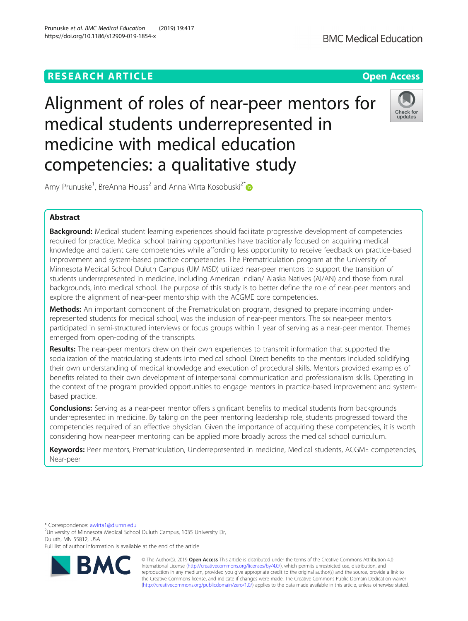Alignment of roles of near-peer mentors for medical students underrepresented in medicine with medical education competencies: a qualitative study

Amy Prunuske<sup>1</sup>, BreAnna Houss<sup>2</sup> and Anna Wirta Kosobuski<sup>2\*</sup>

# Abstract

Background: Medical student learning experiences should facilitate progressive development of competencies required for practice. Medical school training opportunities have traditionally focused on acquiring medical knowledge and patient care competencies while affording less opportunity to receive feedback on practice-based improvement and system-based practice competencies. The Prematriculation program at the University of Minnesota Medical School Duluth Campus (UM MSD) utilized near-peer mentors to support the transition of students underrepresented in medicine, including American Indian/ Alaska Natives (AI/AN) and those from rural backgrounds, into medical school. The purpose of this study is to better define the role of near-peer mentors and explore the alignment of near-peer mentorship with the ACGME core competencies.

Methods: An important component of the Prematriculation program, designed to prepare incoming underrepresented students for medical school, was the inclusion of near-peer mentors. The six near-peer mentors participated in semi-structured interviews or focus groups within 1 year of serving as a near-peer mentor. Themes emerged from open-coding of the transcripts.

Results: The near-peer mentors drew on their own experiences to transmit information that supported the socialization of the matriculating students into medical school. Direct benefits to the mentors included solidifying their own understanding of medical knowledge and execution of procedural skills. Mentors provided examples of benefits related to their own development of interpersonal communication and professionalism skills. Operating in the context of the program provided opportunities to engage mentors in practice-based improvement and systembased practice.

**Conclusions:** Serving as a near-peer mentor offers significant benefits to medical students from backgrounds underrepresented in medicine. By taking on the peer mentoring leadership role, students progressed toward the competencies required of an effective physician. Given the importance of acquiring these competencies, it is worth considering how near-peer mentoring can be applied more broadly across the medical school curriculum.

Keywords: Peer mentors, Prematriculation, Underrepresented in medicine, Medical students, ACGME competencies, Near-peer

\* Correspondence: [awirta1@d.umn.edu](mailto:awirta1@d.umn.edu) <sup>2</sup>

R.

University of Minnesota Medical School Duluth Campus, 1035 University Dr, Duluth, MN 55812, USA

Full list of author information is available at the end of the article

© The Author(s). 2019 Open Access This article is distributed under the terms of the Creative Commons Attribution 4.0 International License [\(http://creativecommons.org/licenses/by/4.0/](http://creativecommons.org/licenses/by/4.0/)), which permits unrestricted use, distribution, and reproduction in any medium, provided you give appropriate credit to the original author(s) and the source, provide a link to the Creative Commons license, and indicate if changes were made. The Creative Commons Public Domain Dedication waiver [\(http://creativecommons.org/publicdomain/zero/1.0/](http://creativecommons.org/publicdomain/zero/1.0/)) applies to the data made available in this article, unless otherwise stated.



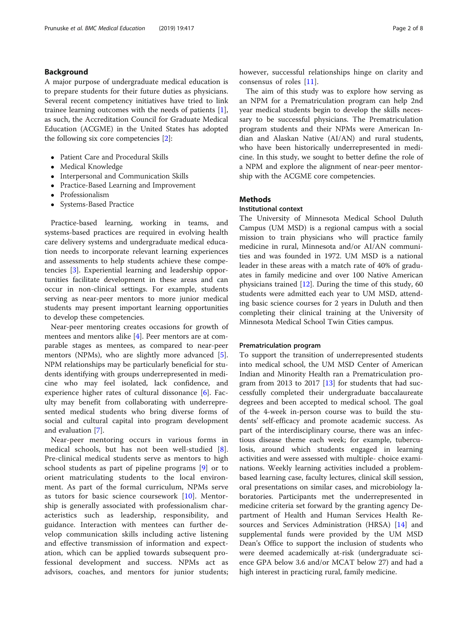# Background

A major purpose of undergraduate medical education is to prepare students for their future duties as physicians. Several recent competency initiatives have tried to link trainee learning outcomes with the needs of patients [\[1](#page-7-0)], as such, the Accreditation Council for Graduate Medical Education (ACGME) in the United States has adopted the following six core competencies [\[2](#page-7-0)]:

- Patient Care and Procedural Skills
- Medical Knowledge
- Interpersonal and Communication Skills
- Practice-Based Learning and Improvement
- Professionalism
- Systems-Based Practice

Practice-based learning, working in teams, and systems-based practices are required in evolving health care delivery systems and undergraduate medical education needs to incorporate relevant learning experiences and assessments to help students achieve these competencies [\[3](#page-7-0)]. Experiential learning and leadership opportunities facilitate development in these areas and can occur in non-clinical settings. For example, students serving as near-peer mentors to more junior medical students may present important learning opportunities to develop these competencies.

Near-peer mentoring creates occasions for growth of mentees and mentors alike [[4\]](#page-7-0). Peer mentors are at comparable stages as mentees, as compared to near-peer mentors (NPMs), who are slightly more advanced [\[5](#page-7-0)]. NPM relationships may be particularly beneficial for students identifying with groups underrepresented in medicine who may feel isolated, lack confidence, and experience higher rates of cultural dissonance [[6](#page-7-0)]. Faculty may benefit from collaborating with underrepresented medical students who bring diverse forms of social and cultural capital into program development and evaluation [[7\]](#page-7-0).

Near-peer mentoring occurs in various forms in medical schools, but has not been well-studied [\[8](#page-7-0)]. Pre-clinical medical students serve as mentors to high school students as part of pipeline programs [[9\]](#page-7-0) or to orient matriculating students to the local environment. As part of the formal curriculum, NPMs serve as tutors for basic science coursework [[10\]](#page-7-0). Mentorship is generally associated with professionalism characteristics such as leadership, responsibility, and guidance. Interaction with mentees can further develop communication skills including active listening and effective transmission of information and expectation, which can be applied towards subsequent professional development and success. NPMs act as advisors, coaches, and mentors for junior students; however, successful relationships hinge on clarity and consensus of roles [\[11](#page-7-0)].

The aim of this study was to explore how serving as an NPM for a Prematriculation program can help 2nd year medical students begin to develop the skills necessary to be successful physicians. The Prematriculation program students and their NPMs were American Indian and Alaskan Native (AI/AN) and rural students, who have been historically underrepresented in medicine. In this study, we sought to better define the role of a NPM and explore the alignment of near-peer mentorship with the ACGME core competencies.

# **Methods**

# Institutional context

The University of Minnesota Medical School Duluth Campus (UM MSD) is a regional campus with a social mission to train physicians who will practice family medicine in rural, Minnesota and/or AI/AN communities and was founded in 1972. UM MSD is a national leader in these areas with a match rate of 40% of graduates in family medicine and over 100 Native American physicians trained [[12\]](#page-7-0). During the time of this study, 60 students were admitted each year to UM MSD, attending basic science courses for 2 years in Duluth and then completing their clinical training at the University of Minnesota Medical School Twin Cities campus.

## Prematriculation program

To support the transition of underrepresented students into medical school, the UM MSD Center of American Indian and Minority Health ran a Prematriculation pro-gram from 2013 to 2017 [[13\]](#page-7-0) for students that had successfully completed their undergraduate baccalaureate degrees and been accepted to medical school. The goal of the 4-week in-person course was to build the students' self-efficacy and promote academic success. As part of the interdisciplinary course, there was an infectious disease theme each week; for example, tuberculosis, around which students engaged in learning activities and were assessed with multiple- choice examinations. Weekly learning activities included a problembased learning case, faculty lectures, clinical skill session, oral presentations on similar cases, and microbiology laboratories. Participants met the underrepresented in medicine criteria set forward by the granting agency Department of Health and Human Services Health Resources and Services Administration (HRSA) [\[14](#page-7-0)] and supplemental funds were provided by the UM MSD Dean's Office to support the inclusion of students who were deemed academically at-risk (undergraduate science GPA below 3.6 and/or MCAT below 27) and had a high interest in practicing rural, family medicine.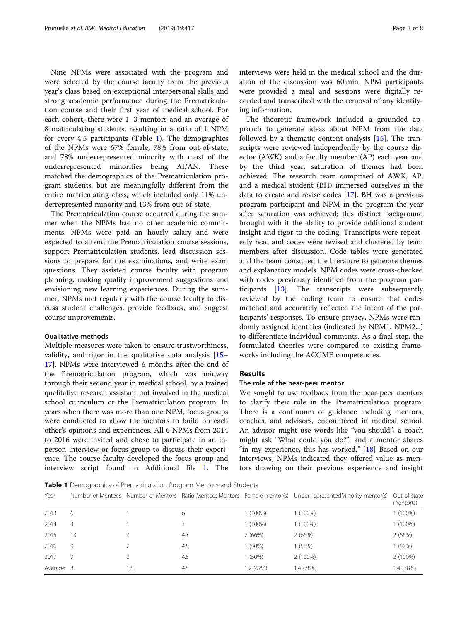Nine NPMs were associated with the program and were selected by the course faculty from the previous year's class based on exceptional interpersonal skills and strong academic performance during the Prematriculation course and their first year of medical school. For each cohort, there were 1–3 mentors and an average of 8 matriculating students, resulting in a ratio of 1 NPM for every 4.5 participants (Table 1). The demographics of the NPMs were 67% female, 78% from out-of-state, and 78% underrepresented minority with most of the underrepresented minorities being AI/AN. These matched the demographics of the Prematriculation program students, but are meaningfully different from the entire matriculating class, which included only 11% underrepresented minority and 13% from out-of-state.

The Prematriculation course occurred during the summer when the NPMs had no other academic commitments. NPMs were paid an hourly salary and were expected to attend the Prematriculation course sessions, support Prematriculation students, lead discussion sessions to prepare for the examinations, and write exam questions. They assisted course faculty with program planning, making quality improvement suggestions and envisioning new learning experiences. During the summer, NPMs met regularly with the course faculty to discuss student challenges, provide feedback, and suggest course improvements.

# Qualitative methods

Multiple measures were taken to ensure trustworthiness, validity, and rigor in the qualitative data analysis [[15](#page-7-0)– [17\]](#page-7-0). NPMs were interviewed 6 months after the end of the Prematriculation program, which was midway through their second year in medical school, by a trained qualitative research assistant not involved in the medical school curriculum or the Prematriculation program. In years when there was more than one NPM, focus groups were conducted to allow the mentors to build on each other's opinions and experiences. All 6 NPMs from 2014 to 2016 were invited and chose to participate in an inperson interview or focus group to discuss their experience. The course faculty developed the focus group and interview script found in Additional file [1](#page-6-0). The interviews were held in the medical school and the duration of the discussion was 60 min. NPM participants were provided a meal and sessions were digitally recorded and transcribed with the removal of any identifying information.

The theoretic framework included a grounded approach to generate ideas about NPM from the data followed by a thematic content analysis [[15\]](#page-7-0). The transcripts were reviewed independently by the course director (AWK) and a faculty member (AP) each year and by the third year, saturation of themes had been achieved. The research team comprised of AWK, AP, and a medical student (BH) immersed ourselves in the data to create and revise codes [\[17](#page-7-0)]. BH was a previous program participant and NPM in the program the year after saturation was achieved; this distinct background brought with it the ability to provide additional student insight and rigor to the coding. Transcripts were repeatedly read and codes were revised and clustered by team members after discussion. Code tables were generated and the team consulted the literature to generate themes and explanatory models. NPM codes were cross-checked with codes previously identified from the program participants [\[13](#page-7-0)]. The transcripts were subsequently reviewed by the coding team to ensure that codes matched and accurately reflected the intent of the participants' responses. To ensure privacy, NPMs were randomly assigned identities (indicated by NPM1, NPM2...) to differentiate individual comments. As a final step, the formulated theories were compared to existing frameworks including the ACGME competencies.

### Results

### The role of the near-peer mentor

We sought to use feedback from the near-peer mentors to clarify their role in the Prematriculation program. There is a continuum of guidance including mentors, coaches, and advisors, encountered in medical school. An advisor might use words like "you should", a coach might ask "What could you do?", and a mentor shares "in my experience, this has worked." [[18](#page-7-0)] Based on our interviews, NPMs indicated they offered value as mentors drawing on their previous experience and insight

**Table 1** Demographics of Prematriculation Program Mentors and Students

| Year      |    |     |     |            | Number of Mentees Number of Mentors Ratio Mentees: Mentors Female mentor(s) Under-represented Minority mentor(s) | Out-of-state<br>mentor(s) |
|-----------|----|-----|-----|------------|------------------------------------------------------------------------------------------------------------------|---------------------------|
| 2013      | 6  |     | 6   | $1(100\%)$ | $(100\%)$                                                                                                        | $1(100\%)$                |
| 2014      |    |     |     | $1(100\%)$ | $(100\%)$                                                                                                        | 1 (100%)                  |
| 2015      | 13 |     | 4.3 | 2(66%)     | 2(66%)                                                                                                           | 2(66%)                    |
| 2016      | 9  |     | 4.5 | 1(50%)     | $(50\%)$                                                                                                         | 1(50%)                    |
| 2017      | 9  |     | 4.5 | 1(50%)     | 2 (100%)                                                                                                         | 2 (100%)                  |
| Average 8 |    | . 8 | 4.5 | 1.2(67%)   | .4 (78%)                                                                                                         | 1.4 (78%)                 |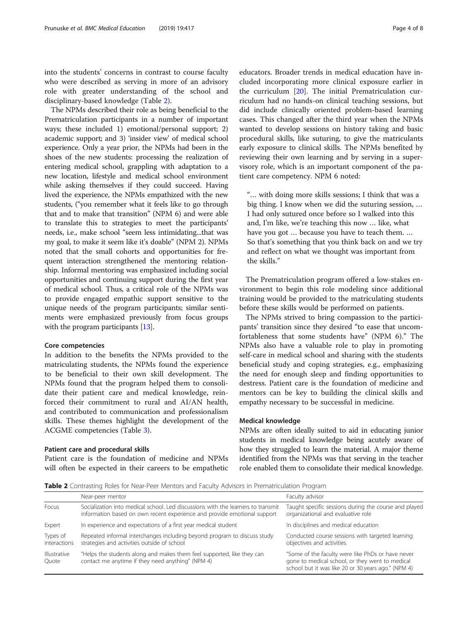into the students' concerns in contrast to course faculty who were described as serving in more of an advisory role with greater understanding of the school and disciplinary-based knowledge (Table 2).

The NPMs described their role as being beneficial to the Prematriculation participants in a number of important ways; these included 1) emotional/personal support; 2) academic support; and 3) 'insider view' of medical school experience. Only a year prior, the NPMs had been in the shoes of the new students: processing the realization of entering medical school, grappling with adaptation to a new location, lifestyle and medical school environment while asking themselves if they could succeed. Having lived the experience, the NPMs empathized with the new students, ("you remember what it feels like to go through that and to make that transition" (NPM 6) and were able to translate this to strategies to meet the participants' needs, i.e., make school "seem less intimidating...that was my goal, to make it seem like it's doable" (NPM 2). NPMs noted that the small cohorts and opportunities for frequent interaction strengthened the mentoring relationship. Informal mentoring was emphasized including social opportunities and continuing support during the first year of medical school. Thus, a critical role of the NPMs was to provide engaged empathic support sensitive to the unique needs of the program participants; similar sentiments were emphasized previously from focus groups with the program participants [[13](#page-7-0)].

## Core competencies

In addition to the benefits the NPMs provided to the matriculating students, the NPMs found the experience to be beneficial to their own skill development. The NPMs found that the program helped them to consolidate their patient care and medical knowledge, reinforced their commitment to rural and AI/AN health, and contributed to communication and professionalism skills. These themes highlight the development of the ACGME competencies (Table [3](#page-4-0)).

# Patient care and procedural skills

Patient care is the foundation of medicine and NPMs will often be expected in their careers to be empathetic

educators. Broader trends in medical education have included incorporating more clinical exposure earlier in the curriculum [[20\]](#page-7-0). The initial Prematriculation curriculum had no hands-on clinical teaching sessions, but did include clinically oriented problem-based learning cases. This changed after the third year when the NPMs wanted to develop sessions on history taking and basic procedural skills, like suturing, to give the matriculants early exposure to clinical skills. The NPMs benefited by reviewing their own learning and by serving in a supervisory role, which is an important component of the patient care competency. NPM 6 noted:

"… with doing more skills sessions; I think that was a big thing. I know when we did the suturing session, … I had only sutured once before so I walked into this and, I'm like, we're teaching this now … like, what have you got … because you have to teach them. … So that's something that you think back on and we try and reflect on what we thought was important from the skills."

The Prematriculation program offered a low-stakes environment to begin this role modeling since additional training would be provided to the matriculating students before these skills would be performed on patients.

The NPMs strived to bring compassion to the participants' transition since they desired "to ease that uncomfortableness that some students have" (NPM 6)." The NPMs also have a valuable role to play in promoting self-care in medical school and sharing with the students beneficial study and coping strategies, e.g., emphasizing the need for enough sleep and finding opportunities to destress. Patient care is the foundation of medicine and mentors can be key to building the clinical skills and empathy necessary to be successful in medicine.

#### Medical knowledge

NPMs are often ideally suited to aid in educating junior students in medical knowledge being acutely aware of how they struggled to learn the material. A major theme identified from the NPMs was that serving in the teacher role enabled them to consolidate their medical knowledge.

**Table 2** Contrasting Roles for Near-Peer Mentors and Faculty Advisors in Prematriculation Program

|                              | Near-peer mentor                                                                                                                                             | Faculty advisor                                                                                                                                             |  |
|------------------------------|--------------------------------------------------------------------------------------------------------------------------------------------------------------|-------------------------------------------------------------------------------------------------------------------------------------------------------------|--|
| Focus                        | Socialization into medical school. Led discussions with the learners to transmit<br>information based on own recent experience and provide emotional support | Taught specific sessions during the course and played<br>organizational and evaluative role                                                                 |  |
| Expert                       | In experience and expectations of a first year medical student                                                                                               | In disciplines and medical education                                                                                                                        |  |
| Types of<br>interactions     | Repeated informal interchanges including beyond program to discuss study<br>strategies and activities outside of school                                      | Conducted course sessions with targeted learning<br>objectives and activities                                                                               |  |
| <b>Illustrative</b><br>Ouote | "Helps the students along and makes them feel supported, like they can<br>contact me anytime if they need anything" (NPM 4)                                  | "Some of the faculty were like PhDs or have never<br>gone to medical school, or they went to medical<br>school but it was like 20 or 30 years ago." (NPM 4) |  |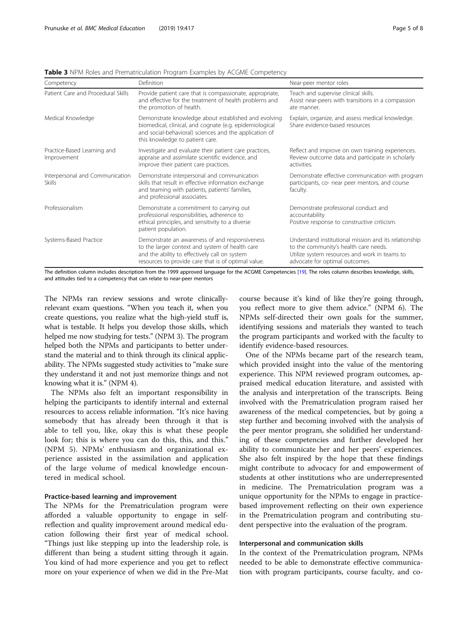<span id="page-4-0"></span>

|  | Table 3 NPM Roles and Prematriculation Program Examples by ACGME Competency |  |
|--|-----------------------------------------------------------------------------|--|
|  |                                                                             |  |

| Competency                                       | <b>Definition</b>                                                                                                                                                                                            | Near-peer mentor roles                                                                                                                                                            |  |
|--------------------------------------------------|--------------------------------------------------------------------------------------------------------------------------------------------------------------------------------------------------------------|-----------------------------------------------------------------------------------------------------------------------------------------------------------------------------------|--|
| Patient Care and Procedural Skills               | Provide patient care that is compassionate, appropriate,<br>and effective for the treatment of health problems and<br>the promotion of health.                                                               | Teach and supervise clinical skills.<br>Assist near-peers with transitions in a compassion<br>ate manner.                                                                         |  |
| Medical Knowledge                                | Demonstrate knowledge about established and evolving<br>biomedical, clinical, and cognate (e.g. epidemiological<br>and social-behavioral) sciences and the application of<br>this knowledge to patient care. | Explain, organize, and assess medical knowledge.<br>Share evidence-based resources                                                                                                |  |
| Practice-Based Learning and<br>Improvement       | Investigate and evaluate their patient care practices,<br>appraise and assimilate scientific evidence, and<br>improve their patient care practices.                                                          | Reflect and improve on own training experiences.<br>Review outcome data and participate in scholarly<br>activities.                                                               |  |
| Interpersonal and Communication<br><b>Skills</b> | Demonstrate interpersonal and communication<br>skills that result in effective information exchange<br>and teaming with patients, patients' families,<br>and professional associates.                        | Demonstrate effective communication with program<br>participants, co- near peer mentors, and course<br>faculty.                                                                   |  |
| Professionalism                                  | Demonstrate a commitment to carrying out<br>professional responsibilities, adherence to<br>ethical principles, and sensitivity to a diverse<br>patient population.                                           | Demonstrate professional conduct and<br>accountability<br>Positive response to constructive criticism.                                                                            |  |
| Systems-Based Practice                           | Demonstrate an awareness of and responsiveness<br>to the larger context and system of health care<br>and the ability to effectively call on system<br>resources to provide care that is of optimal value.    | Understand institutional mission and its relationship<br>to the community's health care needs.<br>Utilize system resources and work in teams to<br>advocate for optimal outcomes. |  |

The definition column includes description from the 1999 approved language for the ACGME Competencies [[19\]](#page-7-0). The roles column describes knowledge, skills, and attitudes tied to a competency that can relate to near-peer mentors

The NPMs ran review sessions and wrote clinicallyrelevant exam questions. "When you teach it, when you create questions, you realize what the high-yield stuff is, what is testable. It helps you develop those skills, which helped me now studying for tests." (NPM 3). The program helped both the NPMs and participants to better understand the material and to think through its clinical applicability. The NPMs suggested study activities to "make sure they understand it and not just memorize things and not knowing what it is." (NPM 4).

The NPMs also felt an important responsibility in helping the participants to identify internal and external resources to access reliable information. "It's nice having somebody that has already been through it that is able to tell you, like, okay this is what these people look for; this is where you can do this, this, and this." (NPM 5). NPMs' enthusiasm and organizational experience assisted in the assimilation and application of the large volume of medical knowledge encountered in medical school.

# Practice-based learning and improvement

The NPMs for the Prematriculation program were afforded a valuable opportunity to engage in selfreflection and quality improvement around medical education following their first year of medical school. "Things just like stepping up into the leadership role, is different than being a student sitting through it again. You kind of had more experience and you get to reflect more on your experience of when we did in the Pre-Mat course because it's kind of like they're going through, you reflect more to give them advice." (NPM 6). The NPMs self-directed their own goals for the summer, identifying sessions and materials they wanted to teach the program participants and worked with the faculty to identify evidence-based resources.

One of the NPMs became part of the research team, which provided insight into the value of the mentoring experience. This NPM reviewed program outcomes, appraised medical education literature, and assisted with the analysis and interpretation of the transcripts. Being involved with the Prematriculation program raised her awareness of the medical competencies, but by going a step further and becoming involved with the analysis of the peer mentor program, she solidified her understanding of these competencies and further developed her ability to communicate her and her peers' experiences. She also felt inspired by the hope that these findings might contribute to advocacy for and empowerment of students at other institutions who are underrepresented in medicine. The Prematriculation program was a unique opportunity for the NPMs to engage in practicebased improvement reflecting on their own experience in the Prematriculation program and contributing student perspective into the evaluation of the program.

#### Interpersonal and communication skills

In the context of the Prematriculation program, NPMs needed to be able to demonstrate effective communication with program participants, course faculty, and co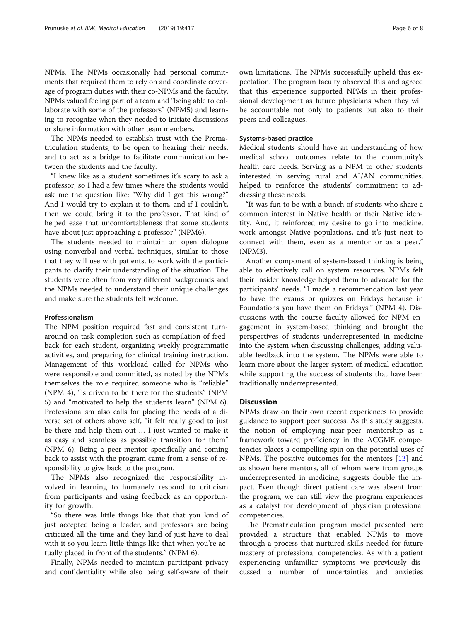NPMs. The NPMs occasionally had personal commitments that required them to rely on and coordinate coverage of program duties with their co-NPMs and the faculty. NPMs valued feeling part of a team and "being able to collaborate with some of the professors" (NPM5) and learning to recognize when they needed to initiate discussions or share information with other team members.

The NPMs needed to establish trust with the Prematriculation students, to be open to hearing their needs, and to act as a bridge to facilitate communication between the students and the faculty.

"I knew like as a student sometimes it's scary to ask a professor, so I had a few times where the students would ask me the question like: "Why did I get this wrong?" And I would try to explain it to them, and if I couldn't, then we could bring it to the professor. That kind of helped ease that uncomfortableness that some students have about just approaching a professor" (NPM6).

The students needed to maintain an open dialogue using nonverbal and verbal techniques, similar to those that they will use with patients, to work with the participants to clarify their understanding of the situation. The students were often from very different backgrounds and the NPMs needed to understand their unique challenges and make sure the students felt welcome.

# Professionalism

The NPM position required fast and consistent turnaround on task completion such as compilation of feedback for each student, organizing weekly programmatic activities, and preparing for clinical training instruction. Management of this workload called for NPMs who were responsible and committed, as noted by the NPMs themselves the role required someone who is "reliable" (NPM 4), "is driven to be there for the students" (NPM 5) and "motivated to help the students learn" (NPM 6). Professionalism also calls for placing the needs of a diverse set of others above self, "it felt really good to just be there and help them out … I just wanted to make it as easy and seamless as possible transition for them" (NPM 6). Being a peer-mentor specifically and coming back to assist with the program came from a sense of responsibility to give back to the program.

The NPMs also recognized the responsibility involved in learning to humanely respond to criticism from participants and using feedback as an opportunity for growth.

"So there was little things like that that you kind of just accepted being a leader, and professors are being criticized all the time and they kind of just have to deal with it so you learn little things like that when you're actually placed in front of the students." (NPM 6).

Finally, NPMs needed to maintain participant privacy and confidentiality while also being self-aware of their

own limitations. The NPMs successfully upheld this expectation. The program faculty observed this and agreed that this experience supported NPMs in their professional development as future physicians when they will be accountable not only to patients but also to their peers and colleagues.

# Systems-based practice

Medical students should have an understanding of how medical school outcomes relate to the community's health care needs. Serving as a NPM to other students interested in serving rural and AI/AN communities, helped to reinforce the students' commitment to addressing these needs.

"It was fun to be with a bunch of students who share a common interest in Native health or their Native identity. And, it reinforced my desire to go into medicine, work amongst Native populations, and it's just neat to connect with them, even as a mentor or as a peer." (NPM3).

Another component of system-based thinking is being able to effectively call on system resources. NPMs felt their insider knowledge helped them to advocate for the participants' needs. "I made a recommendation last year to have the exams or quizzes on Fridays because in Foundations you have them on Fridays." (NPM 4). Discussions with the course faculty allowed for NPM engagement in system-based thinking and brought the perspectives of students underrepresented in medicine into the system when discussing challenges, adding valuable feedback into the system. The NPMs were able to learn more about the larger system of medical education while supporting the success of students that have been traditionally underrepresented.

# **Discussion**

NPMs draw on their own recent experiences to provide guidance to support peer success. As this study suggests, the notion of employing near-peer mentorship as a framework toward proficiency in the ACGME competencies places a compelling spin on the potential uses of NPMs. The positive outcomes for the mentees [[13\]](#page-7-0) and as shown here mentors, all of whom were from groups underrepresented in medicine, suggests double the impact. Even though direct patient care was absent from the program, we can still view the program experiences as a catalyst for development of physician professional competencies.

The Prematriculation program model presented here provided a structure that enabled NPMs to move through a process that nurtured skills needed for future mastery of professional competencies. As with a patient experiencing unfamiliar symptoms we previously discussed a number of uncertainties and anxieties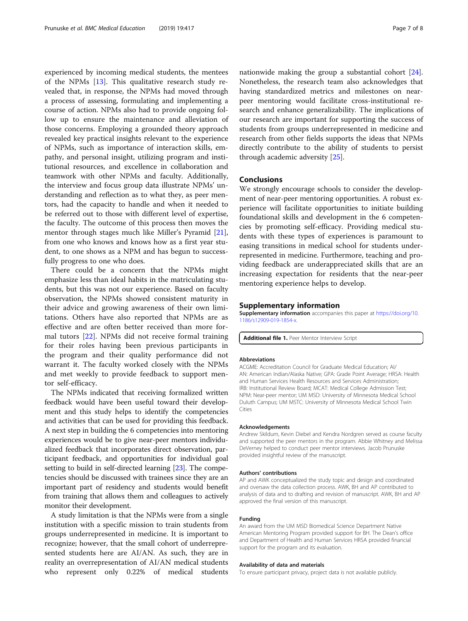<span id="page-6-0"></span>experienced by incoming medical students, the mentees of the NPMs [[13\]](#page-7-0). This qualitative research study revealed that, in response, the NPMs had moved through a process of assessing, formulating and implementing a course of action. NPMs also had to provide ongoing follow up to ensure the maintenance and alleviation of those concerns. Employing a grounded theory approach revealed key practical insights relevant to the experience of NPMs, such as importance of interaction skills, empathy, and personal insight, utilizing program and institutional resources, and excellence in collaboration and teamwork with other NPMs and faculty. Additionally, the interview and focus group data illustrate NPMs' understanding and reflection as to what they, as peer mentors, had the capacity to handle and when it needed to be referred out to those with different level of expertise, the faculty. The outcome of this process then moves the mentor through stages much like Miller's Pyramid [\[21](#page-7-0)], from one who knows and knows how as a first year student, to one shows as a NPM and has begun to successfully progress to one who does.

There could be a concern that the NPMs might emphasize less than ideal habits in the matriculating students, but this was not our experience. Based on faculty observation, the NPMs showed consistent maturity in their advice and growing awareness of their own limitations. Others have also reported that NPMs are as effective and are often better received than more formal tutors [\[22](#page-7-0)]. NPMs did not receive formal training for their roles having been previous participants in the program and their quality performance did not warrant it. The faculty worked closely with the NPMs and met weekly to provide feedback to support mentor self-efficacy.

The NPMs indicated that receiving formalized written feedback would have been useful toward their development and this study helps to identify the competencies and activities that can be used for providing this feedback. A next step in building the 6 competencies into mentoring experiences would be to give near-peer mentors individualized feedback that incorporates direct observation, participant feedback, and opportunities for individual goal setting to build in self-directed learning [\[23\]](#page-7-0). The competencies should be discussed with trainees since they are an important part of residency and students would benefit from training that allows them and colleagues to actively monitor their development.

A study limitation is that the NPMs were from a single institution with a specific mission to train students from groups underrepresented in medicine. It is important to recognize; however, that the small cohort of underrepresented students here are AI/AN. As such, they are in reality an overrepresentation of AI/AN medical students who represent only 0.22% of medical students

nationwide making the group a substantial cohort [\[24](#page-7-0)]. Nonetheless, the research team also acknowledges that having standardized metrics and milestones on nearpeer mentoring would facilitate cross-institutional research and enhance generalizability. The implications of our research are important for supporting the success of students from groups underrepresented in medicine and research from other fields supports the ideas that NPMs directly contribute to the ability of students to persist through academic adversity [\[25](#page-7-0)].

# Conclusions

We strongly encourage schools to consider the development of near-peer mentoring opportunities. A robust experience will facilitate opportunities to initiate building foundational skills and development in the 6 competencies by promoting self-efficacy. Providing medical students with these types of experiences is paramount to easing transitions in medical school for students underrepresented in medicine. Furthermore, teaching and providing feedback are underappreciated skills that are an increasing expectation for residents that the near-peer mentoring experience helps to develop.

#### Supplementary information

Supplementary information accompanies this paper at [https://doi.org/10.](https://doi.org/10.1186/s12909-019-1854-x) [1186/s12909-019-1854-x](https://doi.org/10.1186/s12909-019-1854-x).

Additional file 1. Peer Mentor Interview Script

#### Abbreviations

ACGME: Accreditation Council for Graduate Medical Education; AI/ AN: American Indian/Alaska Native; GPA: Grade Point Average; HRSA: Health and Human Services Health Resources and Services Administration; IRB: Institutional Review Board; MCAT: Medical College Admission Test; NPM: Near-peer mentor; UM MSD: University of Minnesota Medical School Duluth Campus; UM MSTC: University of Minnesota Medical School Twin Cities

#### Acknowledgements

Andrew Skildum, Kevin Diebel and Kendra Nordgren served as course faculty and supported the peer mentors in the program. Abbie Whitney and Melissa DeVerney helped to conduct peer mentor interviews. Jacob Prunuske provided insightful review of the manuscript.

#### Authors' contributions

AP and AWK conceptualized the study topic and design and coordinated and oversaw the data collection process. AWK, BH and AP contributed to analysis of data and to drafting and revision of manuscript. AWK, BH and AP approved the final version of this manuscript.

#### Funding

An award from the UM MSD Biomedical Science Department Native American Mentoring Program provided support for BH. The Dean's office and Department of Health and Human Services HRSA provided financial support for the program and its evaluation.

#### Availability of data and materials

To ensure participant privacy, project data is not available publicly.